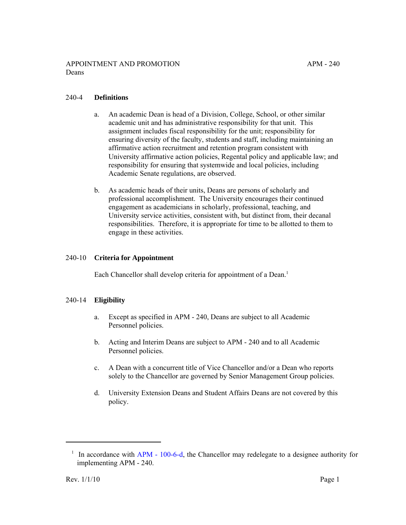# 240-4 **Definitions**

- a. An academic Dean is head of a Division, College, School, or other similar academic unit and has administrative responsibility for that unit. This assignment includes fiscal responsibility for the unit; responsibility for ensuring diversity of the faculty, students and staff, including maintaining an affirmative action recruitment and retention program consistent with University affirmative action policies, Regental policy and applicable law; and responsibility for ensuring that systemwide and local policies, including Academic Senate regulations, are observed.
- b. As academic heads of their units, Deans are persons of scholarly and professional accomplishment. The University encourages their continued engagement as academicians in scholarly, professional, teaching, and University service activities, consistent with, but distinct from, their decanal responsibilities. Therefore, it is appropriate for time to be allotted to them to engage in these activities.

## 240-10 **Criteria for Appointment**

Each Chancellor shall develop criteria for appointment of a Dean.<sup>1</sup>

## 240-14 **Eligibility**

- a. Except as specified in APM 240, Deans are subject to all Academic Personnel policies.
- b. Acting and Interim Deans are subject to APM 240 and to all Academic Personnel policies.
- c. A Dean with a concurrent title of Vice Chancellor and/or a Dean who reports solely to the Chancellor are governed by Senior Management Group policies.
- d. University Extension Deans and Student Affairs Deans are not covered by this policy.

<sup>&</sup>lt;sup>1</sup> In accordance with [APM - 100-6-d,](http://ucop.edu/academic-personnel-programs/_files/apm/apm-100.pdf) the Chancellor may redelegate to a designee authority for implementing APM - 240.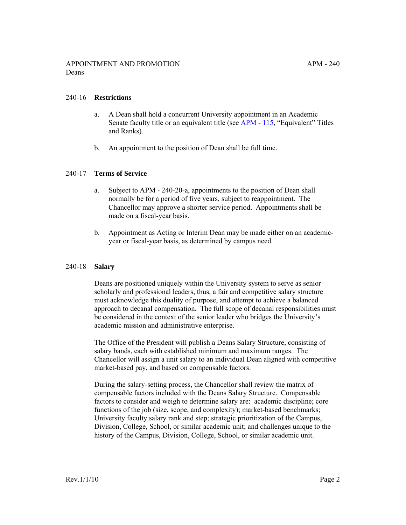## 240-16 **Restrictions**

- a. A Dean shall hold a concurrent University appointment in an Academic Senate faculty title or an equivalent title (see [APM - 115,](http://ucop.edu/academic-personnel-programs/_files/apm/apm-115.pdf) "Equivalent" Titles and Ranks).
- b. An appointment to the position of Dean shall be full time.

### 240-17 **Terms of Service**

- a. Subject to APM 240-20-a, appointments to the position of Dean shall normally be for a period of five years, subject to reappointment. The Chancellor may approve a shorter service period. Appointments shall be made on a fiscal-year basis.
- b. Appointment as Acting or Interim Dean may be made either on an academicyear or fiscal-year basis, as determined by campus need.

## 240-18 **Salary**

Deans are positioned uniquely within the University system to serve as senior scholarly and professional leaders, thus, a fair and competitive salary structure must acknowledge this duality of purpose, and attempt to achieve a balanced approach to decanal compensation. The full scope of decanal responsibilities must be considered in the context of the senior leader who bridges the University's academic mission and administrative enterprise.

The Office of the President will publish a Deans Salary Structure, consisting of salary bands, each with established minimum and maximum ranges. The Chancellor will assign a unit salary to an individual Dean aligned with competitive market-based pay, and based on compensable factors.

During the salary-setting process, the Chancellor shall review the matrix of compensable factors included with the Deans Salary Structure. Compensable factors to consider and weigh to determine salary are: academic discipline; core functions of the job (size, scope, and complexity); market-based benchmarks; University faculty salary rank and step; strategic prioritization of the Campus, Division, College, School, or similar academic unit; and challenges unique to the history of the Campus, Division, College, School, or similar academic unit.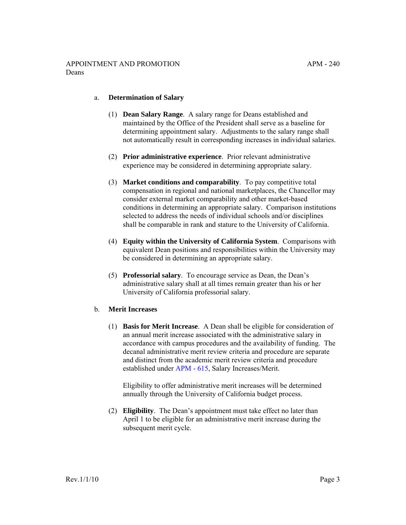### a. **Determination of Salary**

- (1) **Dean Salary Range**. A salary range for Deans established and maintained by the Office of the President shall serve as a baseline for determining appointment salary. Adjustments to the salary range shall not automatically result in corresponding increases in individual salaries.
- (2) **Prior administrative experience**. Prior relevant administrative experience may be considered in determining appropriate salary.
- (3) **Market conditions and comparability**. To pay competitive total compensation in regional and national marketplaces, the Chancellor may consider external market comparability and other market-based conditions in determining an appropriate salary. Comparison institutions selected to address the needs of individual schools and/or disciplines shall be comparable in rank and stature to the University of California.
- (4) **Equity within the University of California System**. Comparisons with equivalent Dean positions and responsibilities within the University may be considered in determining an appropriate salary.
- (5) **Professorial salary**. To encourage service as Dean, the Dean's administrative salary shall at all times remain greater than his or her University of California professorial salary.

#### b. **Merit Increases**

(1) **Basis for Merit Increase**. A Dean shall be eligible for consideration of an annual merit increase associated with the administrative salary in accordance with campus procedures and the availability of funding. The decanal administrative merit review criteria and procedure are separate and distinct from the academic merit review criteria and procedure established under [APM - 615,](http://ucop.edu/academic-personnel-programs/_files/apm/apm-615.pdf) Salary Increases/Merit.

Eligibility to offer administrative merit increases will be determined annually through the University of California budget process.

(2) **Eligibility**. The Dean's appointment must take effect no later than April 1 to be eligible for an administrative merit increase during the subsequent merit cycle.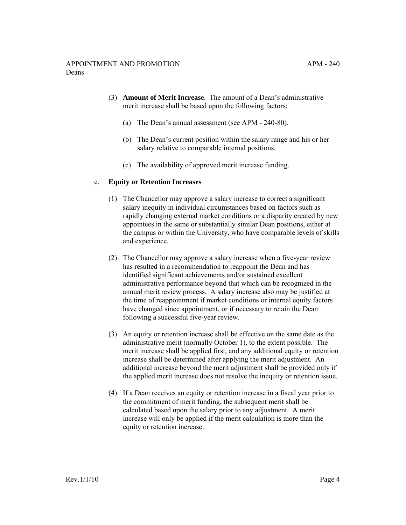- (3) **Amount of Merit Increase**. The amount of a Dean's administrative merit increase shall be based upon the following factors:
	- (a) The Dean's annual assessment (see APM 240-80).
	- (b) The Dean's current position within the salary range and his or her salary relative to comparable internal positions.
	- (c) The availability of approved merit increase funding.

#### c. **Equity or Retention Increases**

- (1) The Chancellor may approve a salary increase to correct a significant salary inequity in individual circumstances based on factors such as rapidly changing external market conditions or a disparity created by new appointees in the same or substantially similar Dean positions, either at the campus or within the University, who have comparable levels of skills and experience.
- (2) The Chancellor may approve a salary increase when a five-year review has resulted in a recommendation to reappoint the Dean and has identified significant achievements and/or sustained excellent administrative performance beyond that which can be recognized in the annual merit review process. A salary increase also may be justified at the time of reappointment if market conditions or internal equity factors have changed since appointment, or if necessary to retain the Dean following a successful five-year review.
- (3) An equity or retention increase shall be effective on the same date as the administrative merit (normally October 1), to the extent possible. The merit increase shall be applied first, and any additional equity or retention increase shall be determined after applying the merit adjustment. An additional increase beyond the merit adjustment shall be provided only if the applied merit increase does not resolve the inequity or retention issue.
- (4) If a Dean receives an equity or retention increase in a fiscal year prior to the commitment of merit funding, the subsequent merit shall be calculated based upon the salary prior to any adjustment. A merit increase will only be applied if the merit calculation is more than the equity or retention increase.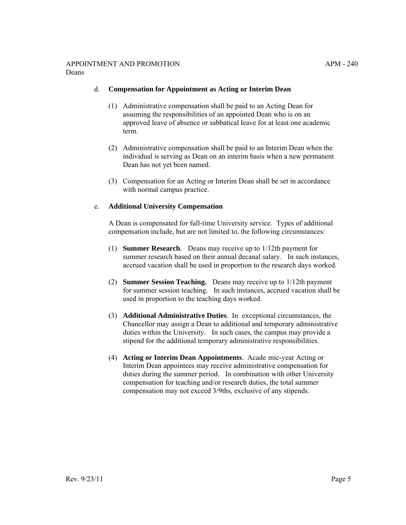### d. **Compensation for Appointment as Acting or Interim Dean**

- (1) Administrative compensation shall be paid to an Acting Dean for assuming the responsibilities of an appointed Dean who is on an approved leave of absence or sabbatical leave for at least one academic term.
- (2) Administrative compensation shall be paid to an Interim Dean when the individual is serving as Dean on an interim basis when a new permanent Dean has not yet been named.
- (3) Compensation for an Acting or Interim Dean shall be set in accordance with normal campus practice.

## e. **Additional University Compensation**

A Dean is compensated for full-time University service. Types of additional compensation include, but are not limited to, the following circumstances:

- (1) **Summer Research**. Deans may receive up to 1/12th payment for summer research based on their annual decanal salary. In such instances, accrued vacation shall be used in proportion to the research days worked.
- (2) **Summer Session Teaching.** Deans may receive up to 1/12th payment for summer session teaching. In such instances, accrued vacation shall be used in proportion to the teaching days worked.
- (3) **Additional Administrative Duties**. In exceptional circumstances, the Chancellor may assign a Dean to additional and temporary administrative duties within the University. In such cases, the campus may provide a stipend for the additional temporary administrative responsibilities.
- (4) **Acting or Interim Dean Appointments**. Acade mic-year Acting or Interim Dean appointees may receive administrative compensation for duties during the summer period. In combination with other University compensation for teaching and/or research duties, the total summer compensation may not exceed 3/9ths, exclusive of any stipends.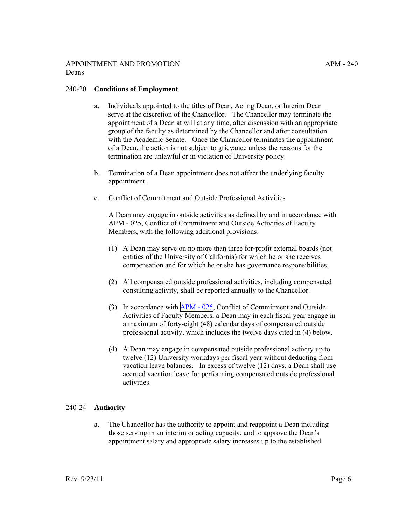## 240-20 **Conditions of Employment**

- a. Individuals appointed to the titles of Dean, Acting Dean, or Interim Dean serve at the discretion of the Chancellor. The Chancellor may terminate the appointment of a Dean at will at any time, after discussion with an appropriate group of the faculty as determined by the Chancellor and after consultation with the Academic Senate. Once the Chancellor terminates the appointment of a Dean, the action is not subject to grievance unless the reasons for the termination are unlawful or in violation of University policy.
- b. Termination of a Dean appointment does not affect the underlying faculty appointment.
- c. Conflict of Commitment and Outside Professional Activities

A Dean may engage in outside activities as defined by and in accordance with APM - 025, Conflict of Commitment and Outside Activities of Faculty Members, with the following additional provisions:

- (1) A Dean may serve on no more than three for-profit external boards (not entities of the University of California) for which he or she receives compensation and for which he or she has governance responsibilities.
- (2) All compensated outside professional activities, including compensated consulting activity, shall be reported annually to the Chancellor.
- (3) In accordance with [APM 025](http://ucop.edu/academic-personnel-programs/_files/apm/apm-025-07-01.pdf), Conflict of Commitment and Outside Activities of Faculty Members, a Dean may in each fiscal year engage in a maximum of forty-eight (48) calendar days of compensated outside professional activity, which includes the twelve days cited in (4) below.
- (4) A Dean may engage in compensated outside professional activity up to twelve (12) University workdays per fiscal year without deducting from vacation leave balances. In excess of twelve (12) days, a Dean shall use accrued vacation leave for performing compensated outside professional activities.

#### 240-24 **Authority**

a. The Chancellor has the authority to appoint and reappoint a Dean including those serving in an interim or acting capacity, and to approve the Dean's appointment salary and appropriate salary increases up to the established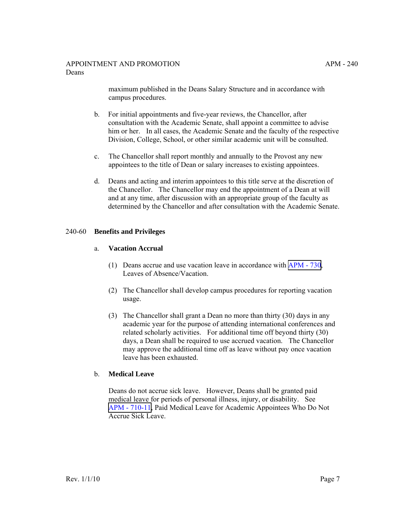maximum published in the Deans Salary Structure and in accordance with campus procedures.

- b. For initial appointments and five-year reviews, the Chancellor, after consultation with the Academic Senate, shall appoint a committee to advise him or her. In all cases, the Academic Senate and the faculty of the respective Division, College, School, or other similar academic unit will be consulted.
- c. The Chancellor shall report monthly and annually to the Provost any new appointees to the title of Dean or salary increases to existing appointees.
- d. Deans and acting and interim appointees to this title serve at the discretion of the Chancellor. The Chancellor may end the appointment of a Dean at will and at any time, after discussion with an appropriate group of the faculty as determined by the Chancellor and after consultation with the Academic Senate.

## 240-60 **Benefits and Privileges**

## a. **Vacation Accrual**

- (1) Deans accrue and use vacation leave in accordance with [APM 730](http://ucop.edu/academic-personnel-programs/_files/apm/apm-730.pdf), Leaves of Absence/Vacation.
- (2) The Chancellor shall develop campus procedures for reporting vacation usage.
- (3) The Chancellor shall grant a Dean no more than thirty (30) days in any academic year for the purpose of attending international conferences and related scholarly activities. For additional time off beyond thirty (30) days, a Dean shall be required to use accrued vacation. The Chancellor may approve the additional time off as leave without pay once vacation leave has been exhausted.

## b. **Medical Leave**

Deans do not accrue sick leave. However, Deans shall be granted paid medical leave for periods of personal illness, injury, or disability. See [APM - 710-11,](http://ucop.edu/academic-personnel-programs/_files/apm/apm-710.pdf) Paid Medical Leave for Academic Appointees Who Do Not Accrue Sick Leave.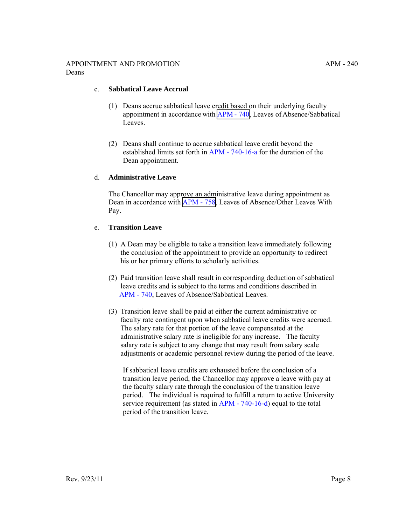### c. **Sabbatical Leave Accrual**

- (1) Deans accrue sabbatical leave credit based on their underlying faculty appointment in accordance with [APM - 740](http://ucop.edu/academic-personnel-programs/_files/apm/apm-740.pdf), Leaves of Absence/Sabbatical Leaves.
- (2) Deans shall continue to accrue sabbatical leave credit beyond the established limits set forth in [APM - 740-16-a](http://ucop.edu/academic-personnel-programs/_files/apm/apm-740.pdf) for the duration of the Dean appointment.

### d. **Administrative Leave**

The Chancellor may approve an administrative leave during appointment as Dean in accordance with [APM - 758](http://ucop.edu/academic-personnel-programs/_files/apm/apm-758.pdf), Leaves of Absence/Other Leaves With Pay.

### e. **Transition Leave**

- (1) A Dean may be eligible to take a transition leave immediately following the conclusion of the appointment to provide an opportunity to redirect his or her primary efforts to scholarly activities.
- (2) Paid transition leave shall result in corresponding deduction of sabbatical leave credits and is subject to the terms and conditions described in [APM - 740](http://ucop.edu/academic-personnel-programs/_files/apm/apm-740.pdf), Leaves of Absence/Sabbatical Leaves.
- (3) Transition leave shall be paid at either the current administrative or faculty rate contingent upon when sabbatical leave credits were accrued. The salary rate for that portion of the leave compensated at the administrative salary rate is ineligible for any increase. The faculty salary rate is subject to any change that may result from salary scale adjustments or academic personnel review during the period of the leave.

If sabbatical leave credits are exhausted before the conclusion of a transition leave period, the Chancellor may approve a leave with pay at the faculty salary rate through the conclusion of the transition leave period. The individual is required to fulfill a return to active University service requirement (as stated in [APM - 740-16-d\)](http://ucop.edu/academic-personnel-programs/_files/apm/apm-740.pdf) equal to the total period of the transition leave.